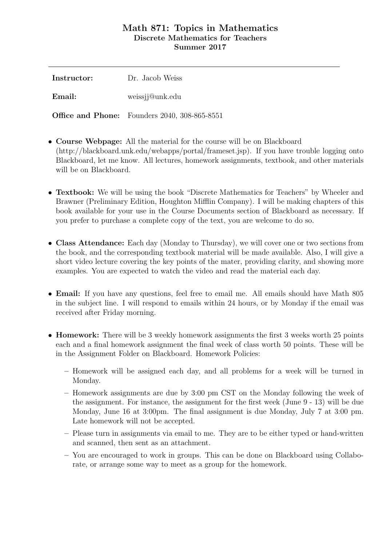## Math 871: Topics in Mathematics Discrete Mathematics for Teachers Summer 2017

| Instructor: | Dr. Jacob Weiss                                      |
|-------------|------------------------------------------------------|
| Email:      | weissjj@unk.edu                                      |
|             | <b>Office and Phone:</b> Founders 2040, 308-865-8551 |

- Course Webpage: All the material for the course will be on Blackboard (http://blackboard.unk.edu/webapps/portal/frameset.jsp). If you have trouble logging onto Blackboard, let me know. All lectures, homework assignments, textbook, and other materials will be on Blackboard.
- **Textbook:** We will be using the book "Discrete Mathematics for Teachers" by Wheeler and Brawner (Preliminary Edition, Houghton Mifflin Company). I will be making chapters of this book available for your use in the Course Documents section of Blackboard as necessary. If you prefer to purchase a complete copy of the text, you are welcome to do so.
- Class Attendance: Each day (Monday to Thursday), we will cover one or two sections from the book, and the corresponding textbook material will be made available. Also, I will give a short video lecture covering the key points of the mater, providing clarity, and showing more examples. You are expected to watch the video and read the material each day.
- Email: If you have any questions, feel free to email me. All emails should have Math 805 in the subject line. I will respond to emails within 24 hours, or by Monday if the email was received after Friday morning.
- Homework: There will be 3 weekly homework assignments the first 3 weeks worth 25 points each and a final homework assignment the final week of class worth 50 points. These will be in the Assignment Folder on Blackboard. Homework Policies:
	- Homework will be assigned each day, and all problems for a week will be turned in Monday.
	- Homework assignments are due by 3:00 pm CST on the Monday following the week of the assignment. For instance, the assignment for the first week (June 9 - 13) will be due Monday, June 16 at 3:00pm. The final assignment is due Monday, July 7 at 3:00 pm. Late homework will not be accepted.
	- Please turn in assignments via email to me. They are to be either typed or hand-written and scanned, then sent as an attachment.
	- You are encouraged to work in groups. This can be done on Blackboard using Collaborate, or arrange some way to meet as a group for the homework.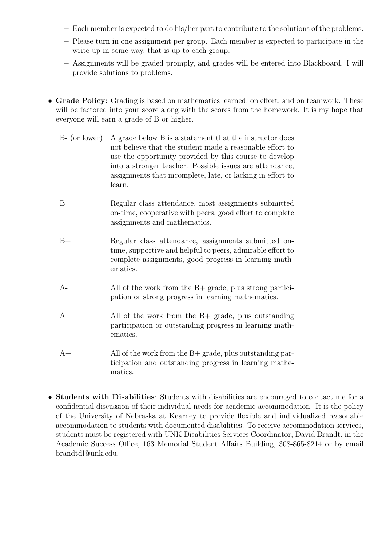- Each member is expected to do his/her part to contribute to the solutions of the problems.
- Please turn in one assignment per group. Each member is expected to participate in the write-up in some way, that is up to each group.
- Assignments will be graded promply, and grades will be entered into Blackboard. I will provide solutions to problems.
- Grade Policy: Grading is based on mathematics learned, on effort, and on teamwork. These will be factored into your score along with the scores from the homework. It is my hope that everyone will earn a grade of B or higher.
	- B- (or lower) A grade below B is a statement that the instructor does not believe that the student made a reasonable effort to use the opportunity provided by this course to develop into a stronger teacher. Possible issues are attendance, assignments that incomplete, late, or lacking in effort to learn.
	- B Regular class attendance, most assignments submitted on-time, cooperative with peers, good effort to complete assignments and mathematics.
	- B+ Regular class attendance, assignments submitted ontime, supportive and helpful to peers, admirable effort to complete assignments, good progress in learning mathematics.
	- A- All of the work from the B+ grade, plus strong participation or strong progress in learning mathematics.
	- A All of the work from the B+ grade, plus outstanding participation or outstanding progress in learning mathematics.
	- A+ All of the work from the B+ grade, plus outstanding participation and outstanding progress in learning mathematics.
- Students with Disabilities: Students with disabilities are encouraged to contact me for a confidential discussion of their individual needs for academic accommodation. It is the policy of the University of Nebraska at Kearney to provide flexible and individualized reasonable accommodation to students with documented disabilities. To receive accommodation services, students must be registered with UNK Disabilities Services Coordinator, David Brandt, in the Academic Success Office, 163 Memorial Student Affairs Building, 308-865-8214 or by email brandtdl@unk.edu.